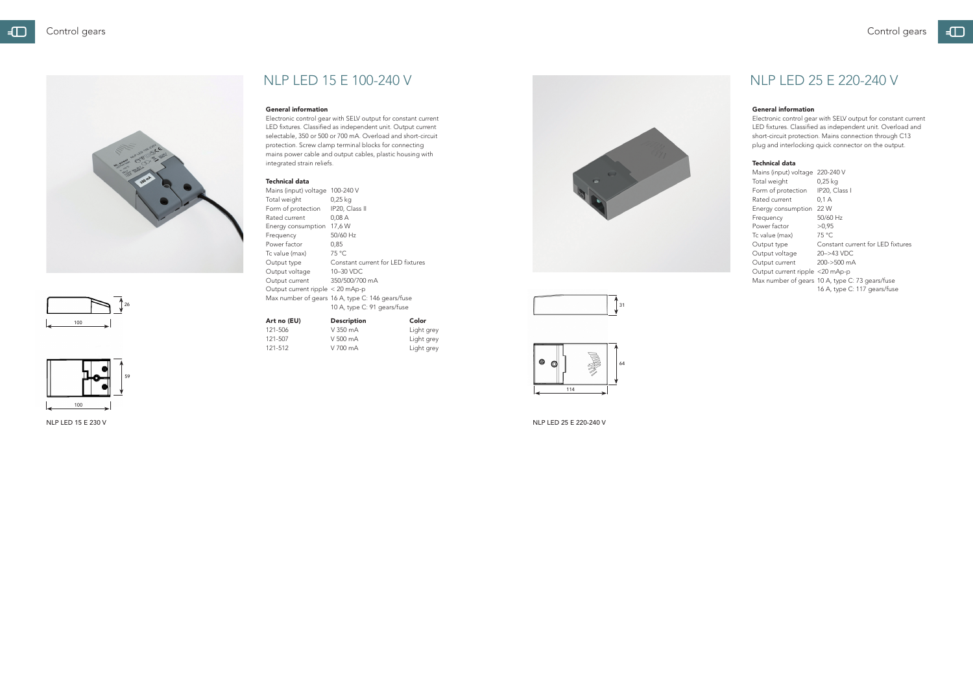



### General information

Electronic control gear with SELV output for constant current LED fixtures. Classified as independent unit. Output current selectable, 350 or 500 or 700 mA. Overload and short-circuit protection. Screw clamp terminal blocks for connecting mains power cable and output cables, plastic housing with integrated strain reliefs.

### Technical data

| Mains (input) voltage            | 100-240 V                                        |
|----------------------------------|--------------------------------------------------|
| Total weight                     | 0,25 kg                                          |
| Form of protection               | IP20, Class II                                   |
| Rated current                    | 0,08A                                            |
| Energy consumption               | 17,6 W                                           |
| Frequency                        | 50/60 Hz                                         |
| Power factor                     | 0.85                                             |
| Tc value (max)                   | 75 °C                                            |
| Output type                      | Constant current for LED fixtures                |
| Output voltage                   | 10-30 VDC                                        |
| Output current                   | 350/500/700 mA                                   |
| Output current ripple < 20 mAp-p |                                                  |
|                                  | Max number of gears 16 A, type C: 146 gears/fuse |
|                                  | 10 A, type C: 91 gears/fuse                      |
|                                  |                                                  |

| Art no (EU) | <b>Description</b> | Color      |
|-------------|--------------------|------------|
| 121-506     | V 350 mA           | Light grey |
| 121-507     | V 500 mA           | Light grey |
| 121-512     | V 700 mA           | Light grey |

### General information

Electronic control gear with SELV output for constant current LED fixtures. Classified as independent unit. Overload and short-circuit protection. Mains connection through C13 plug and interlocking quick connector on the output.

### Technical data

| Mains (input) voltage           | 220-240 V                                       |
|---------------------------------|-------------------------------------------------|
| Total weight                    | 0,25 kg                                         |
| Form of protection              | IP20, Class I                                   |
| Rated current                   | 0.1 A                                           |
| Energy consumption              | 22 W                                            |
| Frequency                       | 50/60 Hz                                        |
| Power factor                    | >0.95                                           |
| Tc value (max)                  | 75 °C                                           |
| Output type                     | Constant current for LED fixtures               |
| Output voltage                  | 20->43 VDC                                      |
| Output current                  | $200 - 500$ mA                                  |
| Output current ripple <20 mAp-p |                                                 |
|                                 | Max number of gears 10 A, type C: 73 gears/fuse |
|                                 | 16 A, type C: 117 gears/fuse                    |



NLP LED 15 E 230 V NLP LED 25 E 220-240 V



# $\Box$



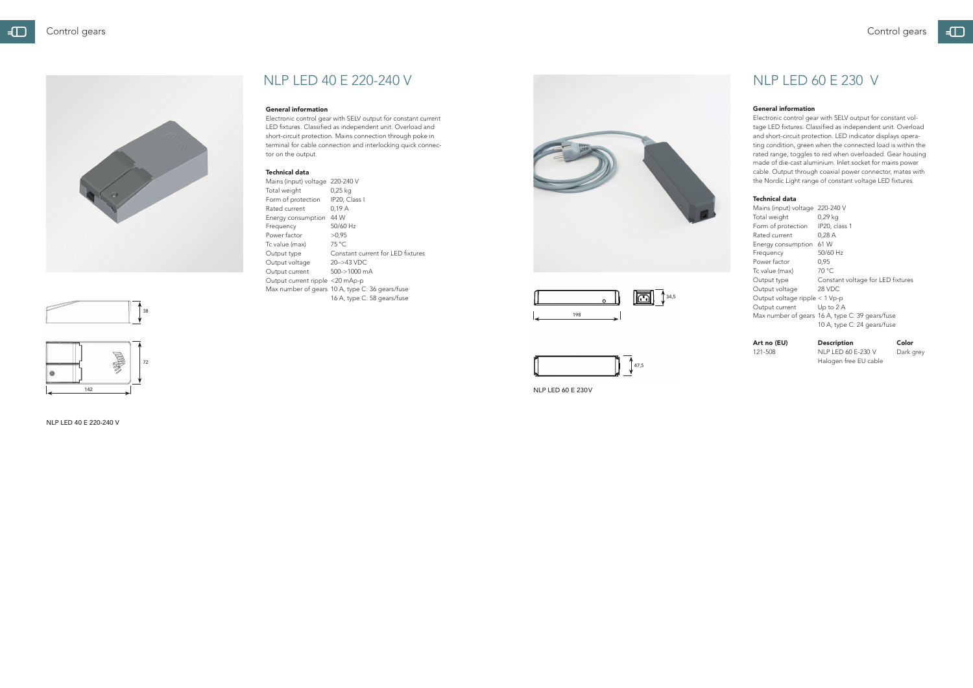

## NLP LED 40 E 220-240 V

#### General information

Electronic control gear with SELV output for constant current LED fixtures. Classified as independent unit. Overload and short-circuit protection. Mains connection through poke in terminal for cable connection and interlocking quick connector on the output.

#### Technical data

Mains (input) voltage 220-240 V Total weight 0,25 kg Form of protection IP20, Class I Rated current 0,19 A Energy consumption 44 W Frequency 50/60 Hz Power factor  $>0.95$ <br>Tc value (max) 75 °C Tc value (max) Output type Constant current for LED fixtures Output voltage 20–>43 VDC Output current 500->1000 mA Output current ripple <20 mAp-p Max number of gears 10 A, type C: 36 gears/fuse 16 A, type C: 58 gears/fuse



NLP LED 40 E 220-240 V





## NLP LED 60 E 230 V

#### General information

121-508 NLP LED 60 E-230 V Dark grey Halogen free EU cable

Electronic control gear with SELV output for constant voltage LED fixtures. Classified as independent unit. Overload and short-circuit protection. LED indicator displays operating condition, green when the connected load is within the rated range, toggles to red when overloaded. Gear housing made of die-cast aluminium. Inlet socket for mains power cable. Output through coaxial power connector, mates with the Nordic Light range of constant voltage LED fixtures.

### Technical data

| Mains (input) voltage 220-240 V  |                                                 |
|----------------------------------|-------------------------------------------------|
| Total weight                     | 0,29 kg                                         |
| Form of protection               | IP20, class 1                                   |
| Rated current                    | 0,28A                                           |
| Energy consumption               | 61 W                                            |
| Frequency                        | 50/60 Hz                                        |
| Power factor                     | 0,95                                            |
| Tc value (max)                   | 70 °C                                           |
| Output type                      | Constant voltage for LED fixtures               |
| Output voltage                   | 28 VDC                                          |
| Output voltage ripple $<$ 1 Vp-p |                                                 |
| Output current                   | Up to $2A$                                      |
|                                  | Max number of gears 16 A, type C: 39 gears/fuse |
|                                  | 10 A, type C: 24 gears/fuse                     |

### Art no (EU) Description Color





NLP LED 60 E 230 V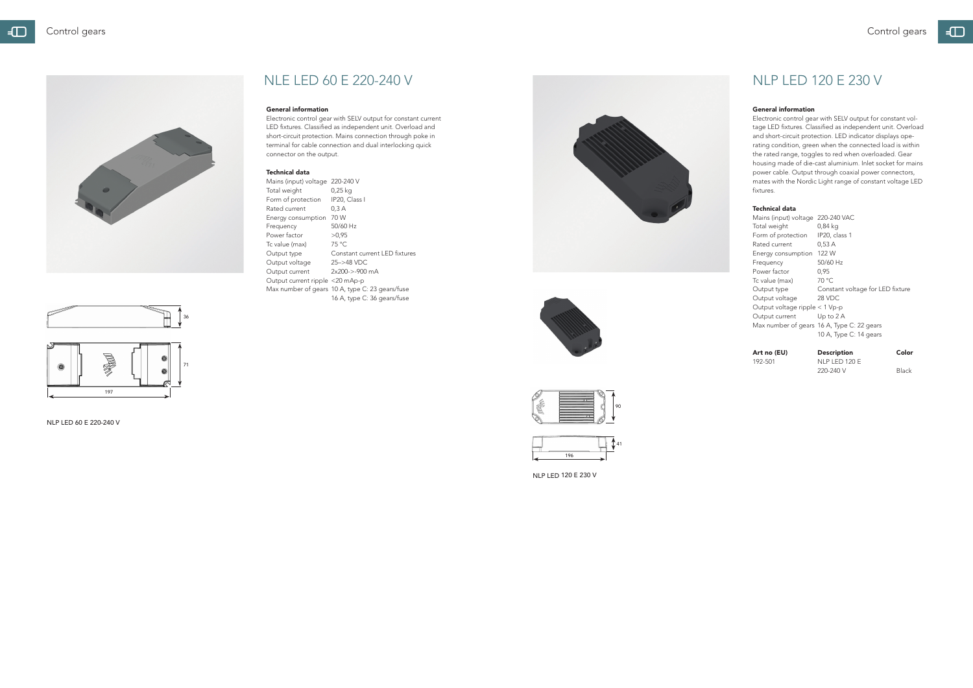

## NLP LED 120 E 230 V

#### General information

Electronic control gear with SELV output for constant voltage LED fixtures. Classified as independent unit. Overload and short-circuit protection. LED indicator displays operating condition, green when the connected load is within the rated range, toggles to red when overloaded. Gear housing made of die-cast aluminium. Inlet socket for mains power cable. Output through coaxial power connectors, mates with the Nordic Light range of constant voltage LED fixtures.

192-501 NLP LED 120 E 220-240 V Black

#### Technical data

| Mains (input) voltage            | 220-240 VAC                                |
|----------------------------------|--------------------------------------------|
| Total weight                     | 0,84 kg                                    |
| Form of protection               | IP20, class 1                              |
| Rated current                    | 0.53A                                      |
| Energy consumption               | 122 W                                      |
| Frequency                        | 50/60 Hz                                   |
| Power factor                     | 0.95                                       |
| Tc value (max)                   | 70 °C                                      |
| Output type                      | Constant voltage for LED fixture           |
| Output voltage                   | 28 VDC                                     |
| Output voltage ripple $<$ 1 Vp-p |                                            |
| Output current                   | Up to $2A$                                 |
|                                  | Max number of gears 16 A, Type C: 22 gears |
|                                  | 10 A, Type C: 14 gears                     |

### Art no (EU) Description Color



NLP LED 120 E 230 V





#### General information

Electronic control gear with SELV output for constant current LED fixtures. Classified as independent unit. Overload and short-circuit protection. Mains connection through poke in terminal for cable connection and dual interlocking quick connector on the output.

#### Technical data

| Mains (input) voltage           | 220-240 V                                       |
|---------------------------------|-------------------------------------------------|
| Total weight                    | 0,25 kg                                         |
| Form of protection              | IP20, Class I                                   |
| Rated current                   | 0.3A                                            |
| Energy consumption              | 70 W                                            |
| Frequency                       | 50/60 Hz                                        |
| Power factor                    | >0.95                                           |
| Tc value (max)                  | $75^{\circ}$ C.                                 |
| Output type                     | Constant current LED fixtures                   |
| Output voltage                  | $25 - > 48$ VDC                                 |
| Output current                  | $2x200 - 5.900 \text{ mA}$                      |
| Output current ripple <20 mAp-p |                                                 |
|                                 | Max number of gears 10 A, type C: 23 gears/fuse |
|                                 | 16 A, type C: 36 gears/fuse                     |





36



NLP LED 60 E 220-240 V